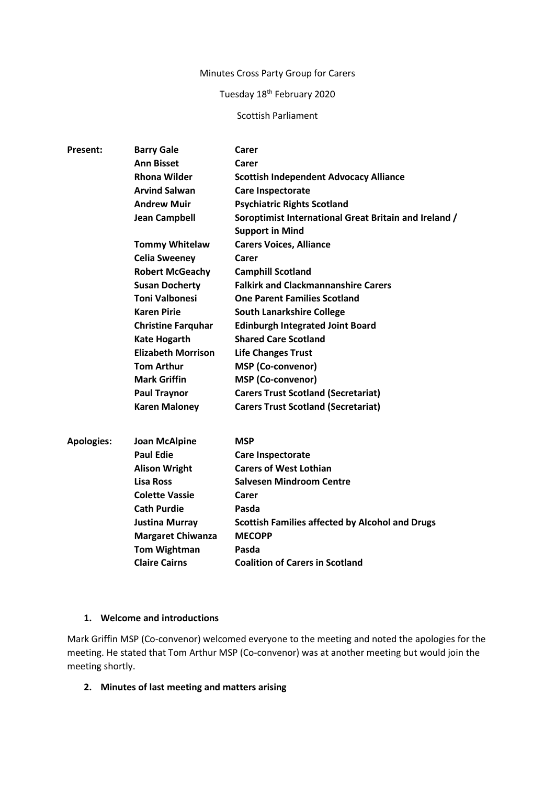#### Minutes Cross Party Group for Carers

# Tuesday 18<sup>th</sup> February 2020

#### Scottish Parliament

| <b>Present:</b>   | <b>Barry Gale</b>         | Carer                                                  |
|-------------------|---------------------------|--------------------------------------------------------|
|                   | <b>Ann Bisset</b>         | Carer                                                  |
|                   | <b>Rhona Wilder</b>       | <b>Scottish Independent Advocacy Alliance</b>          |
|                   | <b>Arvind Salwan</b>      | <b>Care Inspectorate</b>                               |
|                   | <b>Andrew Muir</b>        | <b>Psychiatric Rights Scotland</b>                     |
|                   | <b>Jean Campbell</b>      | Soroptimist International Great Britain and Ireland /  |
|                   |                           | <b>Support in Mind</b>                                 |
|                   | <b>Tommy Whitelaw</b>     | <b>Carers Voices, Alliance</b>                         |
|                   | <b>Celia Sweeney</b>      | Carer                                                  |
|                   | <b>Robert McGeachy</b>    | <b>Camphill Scotland</b>                               |
|                   | <b>Susan Docherty</b>     | <b>Falkirk and Clackmannanshire Carers</b>             |
|                   | <b>Toni Valbonesi</b>     | <b>One Parent Families Scotland</b>                    |
|                   | <b>Karen Pirie</b>        | <b>South Lanarkshire College</b>                       |
|                   | <b>Christine Farquhar</b> | <b>Edinburgh Integrated Joint Board</b>                |
|                   | <b>Kate Hogarth</b>       | <b>Shared Care Scotland</b>                            |
|                   | <b>Elizabeth Morrison</b> | <b>Life Changes Trust</b>                              |
|                   | <b>Tom Arthur</b>         | <b>MSP</b> (Co-convenor)                               |
|                   | <b>Mark Griffin</b>       | <b>MSP</b> (Co-convenor)                               |
|                   | <b>Paul Traynor</b>       | <b>Carers Trust Scotland (Secretariat)</b>             |
|                   | <b>Karen Maloney</b>      | <b>Carers Trust Scotland (Secretariat)</b>             |
| <b>Apologies:</b> | <b>Joan McAlpine</b>      | <b>MSP</b>                                             |
|                   | <b>Paul Edie</b>          | Care Inspectorate                                      |
|                   | <b>Alison Wright</b>      | <b>Carers of West Lothian</b>                          |
|                   | <b>Lisa Ross</b>          | <b>Salvesen Mindroom Centre</b>                        |
|                   | <b>Colette Vassie</b>     | Carer                                                  |
|                   | <b>Cath Purdie</b>        | Pasda                                                  |
|                   | <b>Justina Murray</b>     | <b>Scottish Families affected by Alcohol and Drugs</b> |
|                   | <b>Margaret Chiwanza</b>  | <b>MECOPP</b>                                          |
|                   | <b>Tom Wightman</b>       | Pasda                                                  |
|                   | <b>Claire Cairns</b>      | <b>Coalition of Carers in Scotland</b>                 |
|                   |                           |                                                        |

#### **1. Welcome and introductions**

Mark Griffin MSP (Co-convenor) welcomed everyone to the meeting and noted the apologies for the meeting. He stated that Tom Arthur MSP (Co-convenor) was at another meeting but would join the meeting shortly.

**2. Minutes of last meeting and matters arising**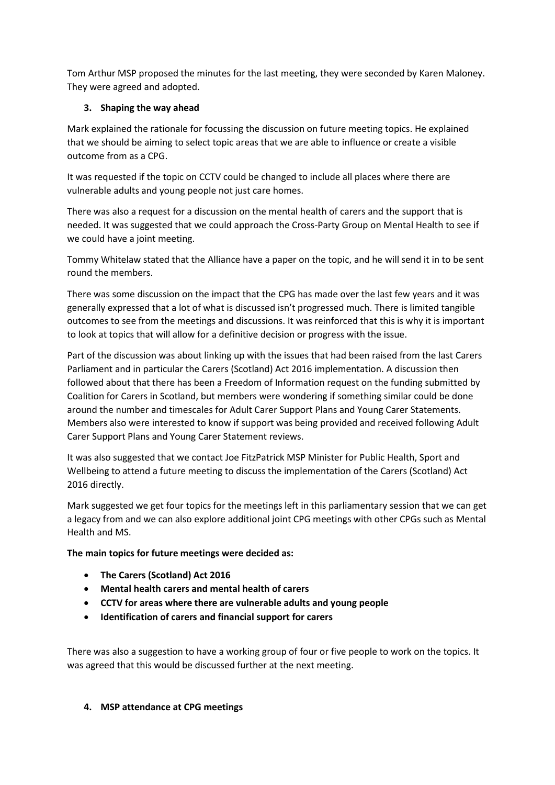Tom Arthur MSP proposed the minutes for the last meeting, they were seconded by Karen Maloney. They were agreed and adopted.

## **3. Shaping the way ahead**

Mark explained the rationale for focussing the discussion on future meeting topics. He explained that we should be aiming to select topic areas that we are able to influence or create a visible outcome from as a CPG.

It was requested if the topic on CCTV could be changed to include all places where there are vulnerable adults and young people not just care homes.

There was also a request for a discussion on the mental health of carers and the support that is needed. It was suggested that we could approach the Cross-Party Group on Mental Health to see if we could have a joint meeting.

Tommy Whitelaw stated that the Alliance have a paper on the topic, and he will send it in to be sent round the members.

There was some discussion on the impact that the CPG has made over the last few years and it was generally expressed that a lot of what is discussed isn't progressed much. There is limited tangible outcomes to see from the meetings and discussions. It was reinforced that this is why it is important to look at topics that will allow for a definitive decision or progress with the issue.

Part of the discussion was about linking up with the issues that had been raised from the last Carers Parliament and in particular the Carers (Scotland) Act 2016 implementation. A discussion then followed about that there has been a Freedom of Information request on the funding submitted by Coalition for Carers in Scotland, but members were wondering if something similar could be done around the number and timescales for Adult Carer Support Plans and Young Carer Statements. Members also were interested to know if support was being provided and received following Adult Carer Support Plans and Young Carer Statement reviews.

It was also suggested that we contact Joe FitzPatrick MSP Minister for Public Health, Sport and Wellbeing to attend a future meeting to discuss the implementation of the Carers (Scotland) Act 2016 directly.

Mark suggested we get four topics for the meetings left in this parliamentary session that we can get a legacy from and we can also explore additional joint CPG meetings with other CPGs such as Mental Health and MS.

## **The main topics for future meetings were decided as:**

- **The Carers (Scotland) Act 2016**
- **Mental health carers and mental health of carers**
- **CCTV for areas where there are vulnerable adults and young people**
- **Identification of carers and financial support for carers**

There was also a suggestion to have a working group of four or five people to work on the topics. It was agreed that this would be discussed further at the next meeting.

## **4. MSP attendance at CPG meetings**